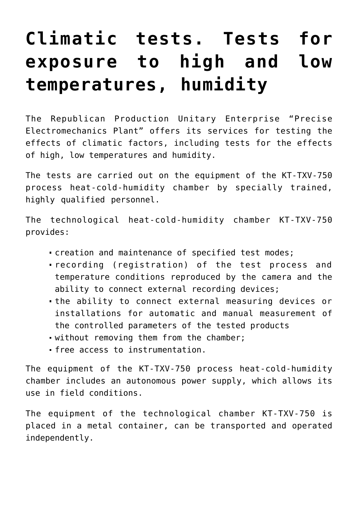## **[Climatic tests. Tests for](https://ztem.by/en/catalog/shared-center/high-low-humidity/) [exposure to high and low](https://ztem.by/en/catalog/shared-center/high-low-humidity/) [temperatures, humidity](https://ztem.by/en/catalog/shared-center/high-low-humidity/)**

The Republican Production Unitary Enterprise "Precise Electromechanics Plant" offers its services for testing the effects of climatic factors, including tests for the effects of high, low temperatures and humidity.

The tests are carried out on the equipment of the KT-TXV-750 process heat-cold-humidity chamber by specially trained, highly qualified personnel.

The technological heat-cold-humidity chamber KT-TXV-750 provides:

- creation and maintenance of specified test modes;
- recording (registration) of the test process and temperature conditions reproduced by the camera and the ability to connect external recording devices;
- the ability to connect external measuring devices or installations for automatic and manual measurement of the controlled parameters of the tested products
- without removing them from the chamber;
- free access to instrumentation.

The equipment of the KT-TXV-750 process heat-cold-humidity chamber includes an autonomous power supply, which allows its use in field conditions.

The equipment of the technological chamber KT-TXV-750 is placed in a metal container, can be transported and operated independently.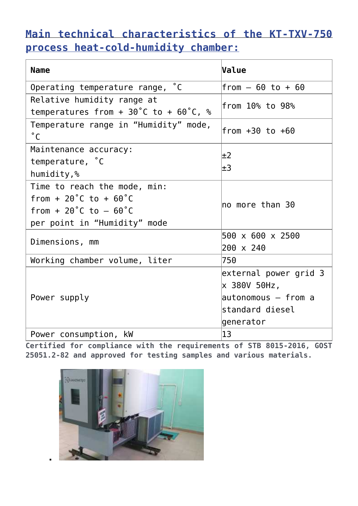## **[Main technical characteristics of the KT-TXV-750](#page--1-0) [process heat-cold-humidity chamber:](#page--1-0)**

| <b>Name</b>                                                                                                                                           | <b>Value</b>                                                                                 |
|-------------------------------------------------------------------------------------------------------------------------------------------------------|----------------------------------------------------------------------------------------------|
| $^{\circ}$ C<br>Operating temperature range,                                                                                                          | $from - 60 to + 60$                                                                          |
| Relative humidity range at<br>temperatures from + $30^{\circ}$ C to + $60^{\circ}$ C, %                                                               | from 10% to 98%                                                                              |
| Temperature range in "Humidity" mode,<br>$^{\circ}$ C                                                                                                 | $from +30 to +60$                                                                            |
| Maintenance accuracy:<br>temperature, °C<br>humidity,%                                                                                                | $\pm 2$<br>$\pm 3$                                                                           |
| Time to reach the mode, min:<br>from + $20^{\circ}$ C to + $60^{\circ}$ C<br>from + $20^{\circ}$ C to $-60^{\circ}$ C<br>per point in "Humidity" mode | $ $ no more than 30                                                                          |
| Dimensions, mm                                                                                                                                        | 500 x 600 x 2500<br>200 x 240                                                                |
| Working chamber volume, liter                                                                                                                         | 750                                                                                          |
| Power supply                                                                                                                                          | external power grid 3<br>x 380V 50Hz,<br>autonomous – from a<br>standard diesel<br>generator |
| Power consumption, kW                                                                                                                                 | $ 13\rangle$                                                                                 |

**Certified for compliance with the requirements of STB 8015-2016, GOST 25051.2-82 and approved for testing samples and various materials.**